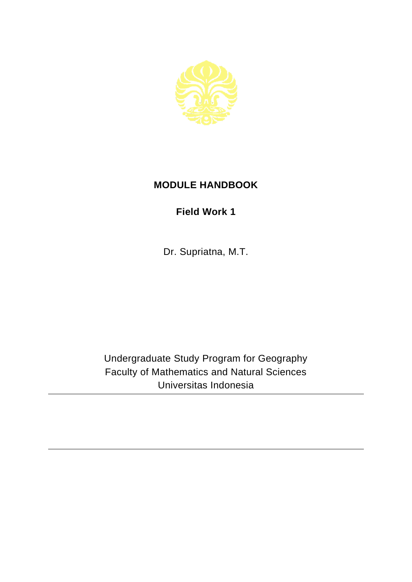

## **MODULE HANDBOOK**

## **Field Work 1**

Dr. Supriatna, M.T.

Undergraduate Study Program for Geography Faculty of Mathematics and Natural Sciences Universitas Indonesia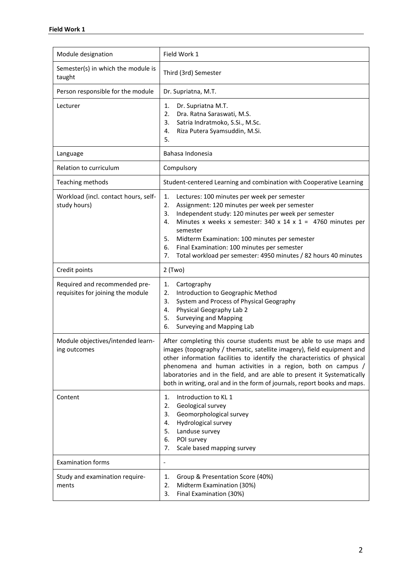| Module designation                                                 | Field Work 1                                                                                                                                                                                                                                                                                                                                                                                                                                      |
|--------------------------------------------------------------------|---------------------------------------------------------------------------------------------------------------------------------------------------------------------------------------------------------------------------------------------------------------------------------------------------------------------------------------------------------------------------------------------------------------------------------------------------|
| Semester(s) in which the module is<br>taught                       | Third (3rd) Semester                                                                                                                                                                                                                                                                                                                                                                                                                              |
| Person responsible for the module                                  | Dr. Supriatna, M.T.                                                                                                                                                                                                                                                                                                                                                                                                                               |
| Lecturer                                                           | Dr. Supriatna M.T.<br>1.<br>2.<br>Dra. Ratna Saraswati, M.S.<br>Satria Indratmoko, S.Si., M.Sc.<br>3.<br>Riza Putera Syamsuddin, M.Si.<br>4.<br>5.                                                                                                                                                                                                                                                                                                |
| Language                                                           | Bahasa Indonesia                                                                                                                                                                                                                                                                                                                                                                                                                                  |
| Relation to curriculum                                             | Compulsory                                                                                                                                                                                                                                                                                                                                                                                                                                        |
| Teaching methods                                                   | Student-centered Learning and combination with Cooperative Learning                                                                                                                                                                                                                                                                                                                                                                               |
| Workload (incl. contact hours, self-<br>study hours)               | 1.<br>Lectures: 100 minutes per week per semester<br>2.<br>Assignment: 120 minutes per week per semester<br>Independent study: 120 minutes per week per semester<br>3.<br>Minutes x weeks x semester: 340 x 14 x 1 = 4760 minutes per<br>4.<br>semester<br>5.<br>Midterm Examination: 100 minutes per semester<br>6.<br>Final Examination: 100 minutes per semester<br>7.<br>Total workload per semester: 4950 minutes / 82 hours 40 minutes      |
| Credit points                                                      | 2 (Two)                                                                                                                                                                                                                                                                                                                                                                                                                                           |
| Required and recommended pre-<br>requisites for joining the module | Cartography<br>1.<br>2.<br>Introduction to Geographic Method<br>System and Process of Physical Geography<br>3.<br>Physical Geography Lab 2<br>4.<br><b>Surveying and Mapping</b><br>5.<br>Surveying and Mapping Lab<br>6.                                                                                                                                                                                                                         |
| Module objectives/intended learn-<br>ing outcomes                  | After completing this course students must be able to use maps and<br>images (topography / thematic, satellite imagery), field equipment and<br>other information facilities to identify the characteristics of physical<br>phenomena and human activities in a region, both on campus /<br>laboratories and in the field, and are able to present it Systematically<br>both in writing, oral and in the form of journals, report books and maps. |
| Content                                                            | Introduction to KL 1<br>1.<br>Geological survey<br>2.<br>Geomorphological survey<br>3.<br>Hydrological survey<br>4.<br>Landuse survey<br>5.<br>POI survey<br>6.<br>Scale based mapping survey<br>7.                                                                                                                                                                                                                                               |
| <b>Examination forms</b>                                           | $\overline{\phantom{a}}$                                                                                                                                                                                                                                                                                                                                                                                                                          |
| Study and examination require-<br>ments                            | Group & Presentation Score (40%)<br>1.<br>Midterm Examination (30%)<br>2.<br>Final Examination (30%)<br>3.                                                                                                                                                                                                                                                                                                                                        |